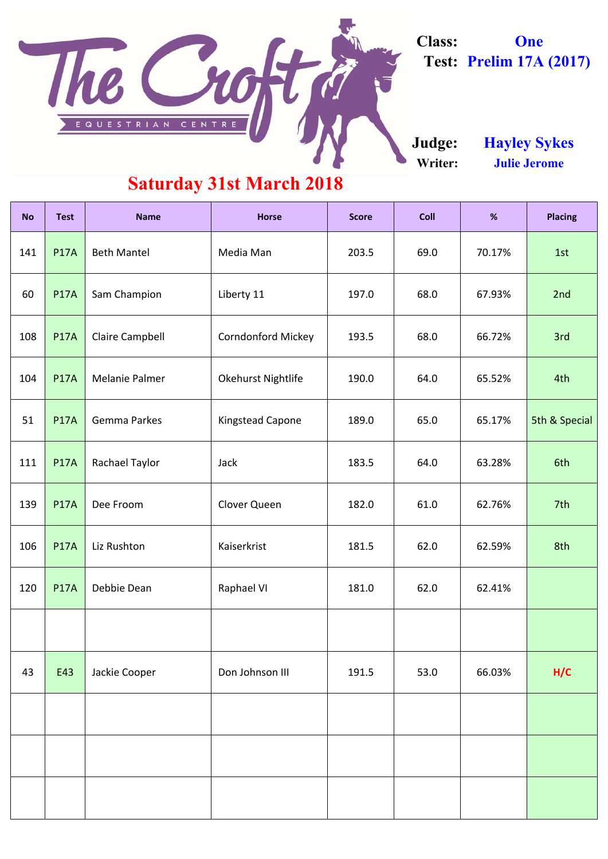| <b>No</b> | <b>Test</b> | <b>Name</b>            | <b>Horse</b>              | <b>Score</b> | <b>Coll</b> | %      |               |
|-----------|-------------|------------------------|---------------------------|--------------|-------------|--------|---------------|
| 141       | <b>P17A</b> | <b>Beth Mantel</b>     | Media Man                 | 203.5        | 69.0        | 70.17% | 1st           |
| 60        | <b>P17A</b> | Sam Champion           | Liberty 11                | 197.0        | 68.0        | 67.93% | 2nd           |
| 108       | <b>P17A</b> | <b>Claire Campbell</b> | <b>Corndonford Mickey</b> | 193.5        | 68.0        | 66.72% | 3rd           |
| 104       | <b>P17A</b> | <b>Melanie Palmer</b>  | <b>Okehurst Nightlife</b> | 190.0        | 64.0        | 65.52% | 4th           |
| 51        | <b>P17A</b> | <b>Gemma Parkes</b>    | <b>Kingstead Capone</b>   | 189.0        | 65.0        | 65.17% | 5th & Special |
| 111       | <b>P17A</b> | <b>Rachael Taylor</b>  | <b>Jack</b>               | 183.5        | 64.0        | 63.28% | 6th           |
| 139       | <b>P17A</b> | Dee Froom              | <b>Clover Queen</b>       | 182.0        | 61.0        | 62.76% | 7th           |
| 106       | <b>P17A</b> | Liz Rushton            | Kaiserkrist               | 181.5        | 62.0        | 62.59% | 8th           |
| 120       | <b>P17A</b> | Debbie Dean            | <b>Raphael VI</b>         | 181.0        | 62.0        | 62.41% |               |
|           |             |                        |                           |              |             |        |               |

| 43 | E43 | Jackie Cooper | Don Johnson III | 191.5 | 53.0 | 66.03% | H/C |
|----|-----|---------------|-----------------|-------|------|--------|-----|
|    |     |               |                 |       |      |        |     |
|    |     |               |                 |       |      |        |     |
|    |     |               |                 |       |      |        |     |

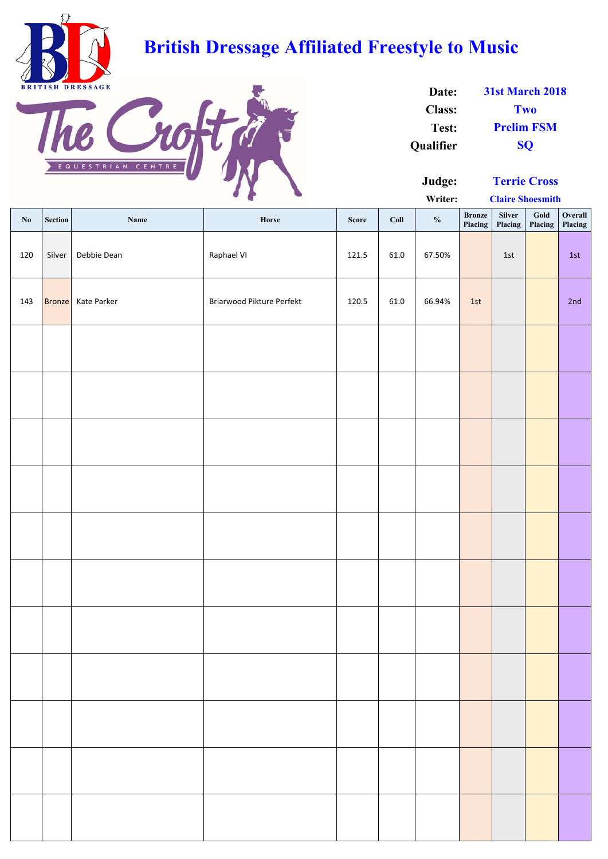**Writer:**

| $\mathbf{N}\mathbf{0}$ | Section       | Name        | Horse                     | <b>Score</b> | Coll | $\frac{0}{0}$ | <b>Bronze</b><br>Placing | Silver<br>Placing | $\boldsymbol{\mathsf{Gold}}$<br>Placing | Overall<br>Placing |
|------------------------|---------------|-------------|---------------------------|--------------|------|---------------|--------------------------|-------------------|-----------------------------------------|--------------------|
| 120                    | Silver        | Debbie Dean | Raphael VI                | 121.5        | 61.0 | 67.50%        |                          | 1st               |                                         | 1st                |
| 143                    | <b>Bronze</b> | Kate Parker | Briarwood Pikture Perfekt | 120.5        | 61.0 | 66.94%        | 1st                      |                   |                                         | 2nd                |
|                        |               |             |                           |              |      |               |                          |                   |                                         |                    |
|                        |               |             |                           |              |      |               |                          |                   |                                         |                    |
|                        |               |             |                           |              |      |               |                          |                   |                                         |                    |
|                        |               |             |                           |              |      |               |                          |                   |                                         |                    |
|                        |               |             |                           |              |      |               |                          |                   |                                         |                    |
|                        |               |             |                           |              |      |               |                          |                   |                                         |                    |
|                        |               |             |                           |              |      |               |                          |                   |                                         |                    |
|                        |               |             |                           |              |      |               |                          |                   |                                         |                    |
|                        |               |             |                           |              |      |               |                          |                   |                                         |                    |
|                        |               |             |                           |              |      |               |                          |                   |                                         |                    |
|                        |               |             |                           |              |      |               |                          |                   |                                         |                    |

| Date:            | <b>31st March 2018</b> |
|------------------|------------------------|
| <b>Class:</b>    | <b>Two</b>             |
| Test:            | <b>Prelim FSM</b>      |
| <b>Qualifier</b> | <b>SO</b>              |



# **British Dressage Affiliated Freestyle to Music**



**Claire Shoesmith**

**Terrie Cross**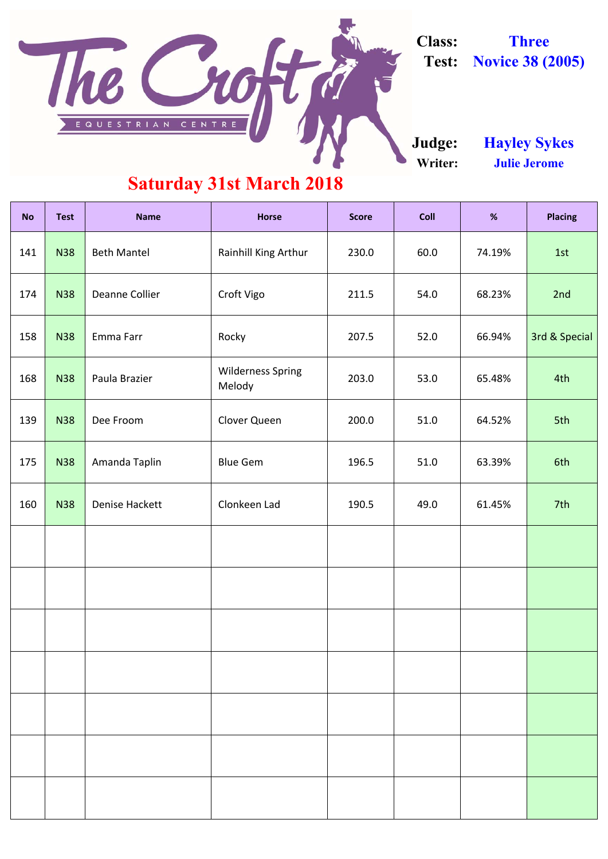| <b>No</b> | <b>Test</b> | <b>Name</b>           | <b>Horse</b>                       | <b>Score</b> | <b>Coll</b> | %      | <b>Placing</b> |
|-----------|-------------|-----------------------|------------------------------------|--------------|-------------|--------|----------------|
| 141       | <b>N38</b>  | <b>Beth Mantel</b>    | Rainhill King Arthur               | 230.0        | 60.0        | 74.19% | 1st            |
| 174       | <b>N38</b>  | Deanne Collier        | Croft Vigo                         | 211.5        | 54.0        | 68.23% | 2nd            |
| 158       | <b>N38</b>  | Emma Farr             | Rocky                              | 207.5        | 52.0        | 66.94% | 3rd & Special  |
| 168       | <b>N38</b>  | Paula Brazier         | <b>Wilderness Spring</b><br>Melody | 203.0        | 53.0        | 65.48% | 4th            |
| 139       | <b>N38</b>  | Dee Froom             | Clover Queen                       | 200.0        | 51.0        | 64.52% | 5th            |
| 175       | <b>N38</b>  | Amanda Taplin         | <b>Blue Gem</b>                    | 196.5        | 51.0        | 63.39% | 6th            |
| 160       | <b>N38</b>  | <b>Denise Hackett</b> | Clonkeen Lad                       | 190.5        | 49.0        | 61.45% | 7th            |
|           |             |                       |                                    |              |             |        |                |
|           |             |                       |                                    |              |             |        |                |
|           |             |                       |                                    |              |             |        |                |

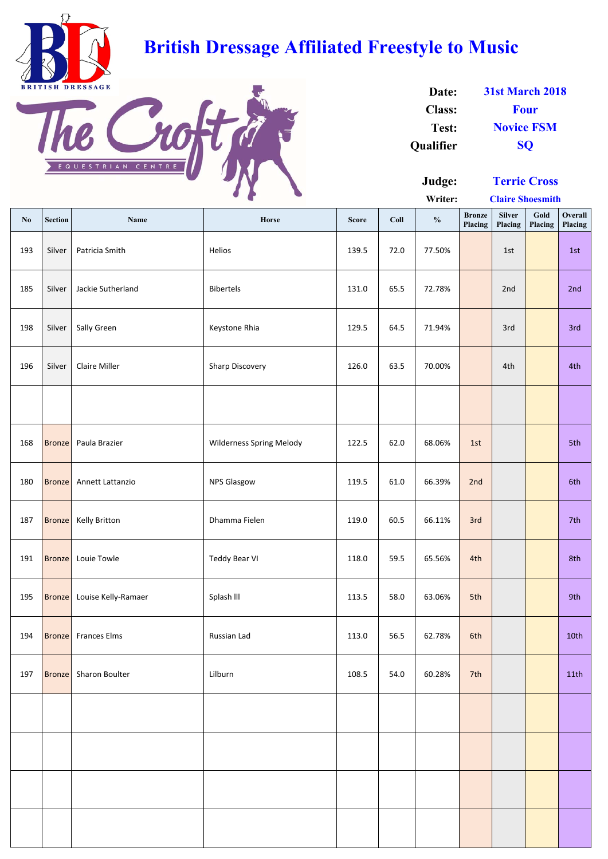**Writer:**

| $\mathbf{N}\mathbf{0}$ | <b>Section</b> | <b>Name</b>           | Horse                           | <b>Score</b> | Coll | $\frac{0}{0}$ | <b>Bronze</b><br>Placing | <b>Silver</b><br>Placing | Gold<br>Placing | Overall<br>Placing |
|------------------------|----------------|-----------------------|---------------------------------|--------------|------|---------------|--------------------------|--------------------------|-----------------|--------------------|
| 193                    | Silver         | Patricia Smith        | Helios                          | 139.5        | 72.0 | 77.50%        |                          | 1st                      |                 | 1st                |
| 185                    | Silver         | Jackie Sutherland     | Bibertels                       | 131.0        | 65.5 | 72.78%        |                          | 2nd                      |                 | 2nd                |
| 198                    | Silver         | Sally Green           | Keystone Rhia                   | 129.5        | 64.5 | 71.94%        |                          | 3rd                      |                 | 3rd                |
| 196                    | Silver         | <b>Claire Miller</b>  | Sharp Discovery                 | 126.0        | 63.5 | 70.00%        |                          | 4th                      |                 | 4th                |
|                        |                |                       |                                 |              |      |               |                          |                          |                 |                    |
| 168                    | <b>Bronze</b>  | Paula Brazier         | <b>Wilderness Spring Melody</b> | 122.5        | 62.0 | 68.06%        | 1st                      |                          |                 | 5th                |
| 180                    | <b>Bronze</b>  | Annett Lattanzio      | <b>NPS Glasgow</b>              | 119.5        | 61.0 | 66.39%        | 2nd                      |                          |                 | 6th                |
| 187                    | <b>Bronze</b>  | Kelly Britton         | Dhamma Fielen                   | 119.0        | 60.5 | 66.11%        | 3rd                      |                          |                 | 7th                |
| 191                    | <b>Bronze</b>  | Louie Towle           | <b>Teddy Bear VI</b>            | 118.0        | 59.5 | 65.56%        | 4th                      |                          |                 | 8th                |
| 195                    | <b>Bronze</b>  | Louise Kelly-Ramaer   | Splash III                      | 113.5        | 58.0 | 63.06%        | 5th                      |                          |                 | 9th                |
| 194                    | <b>Bronze</b>  | <b>Frances Elms</b>   | Russian Lad                     | 113.0        | 56.5 | 62.78%        | 6th                      |                          |                 | 10th               |
| 197                    | <b>Bronze</b>  | <b>Sharon Boulter</b> | Lilburn                         | 108.5        | 54.0 | 60.28%        | 7th                      |                          |                 | 11th               |
|                        |                |                       |                                 |              |      |               |                          |                          |                 |                    |
|                        |                |                       |                                 |              |      |               |                          |                          |                 |                    |
|                        |                |                       |                                 |              |      |               |                          |                          |                 |                    |
|                        |                |                       |                                 |              |      |               |                          |                          |                 |                    |

| Date:            | <b>31st March 2018</b> |
|------------------|------------------------|
| <b>Class:</b>    | <b>Four</b>            |
| Test:            | <b>Novice FSM</b>      |
| <b>Qualifier</b> | <b>SO</b>              |

**Claire Shoesmith**



# **British Dressage Affiliated Freestyle to Music**



**Terrie Cross**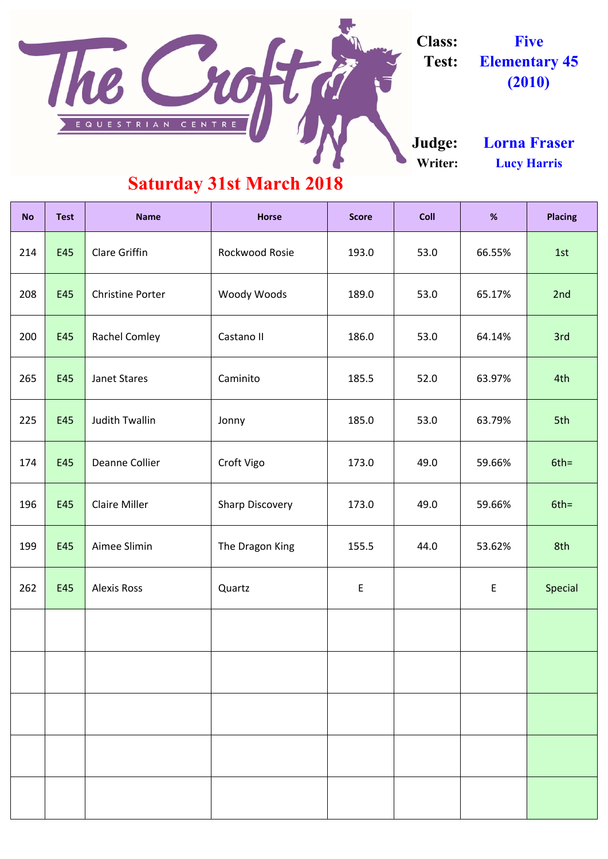| <b>No</b> | <b>Test</b> | <b>Name</b>             | <b>Horse</b>           | <b>Score</b> | <b>Coll</b> | %      | <b>Placing</b> |
|-----------|-------------|-------------------------|------------------------|--------------|-------------|--------|----------------|
| 214       | E45         | <b>Clare Griffin</b>    | Rockwood Rosie         | 193.0        | 53.0        | 66.55% | 1st            |
| 208       | E45         | <b>Christine Porter</b> | <b>Woody Woods</b>     | 189.0        | 53.0        | 65.17% | 2nd            |
| 200       | E45         | <b>Rachel Comley</b>    | Castano II             | 186.0        | 53.0        | 64.14% | 3rd            |
| 265       | E45         | <b>Janet Stares</b>     | Caminito               | 185.5        | 52.0        | 63.97% | 4th            |
| 225       | E45         | <b>Judith Twallin</b>   | Jonny                  | 185.0        | 53.0        | 63.79% | 5th            |
| 174       | E45         | <b>Deanne Collier</b>   | Croft Vigo             | 173.0        | 49.0        | 59.66% | $6th =$        |
| 196       | E45         | <b>Claire Miller</b>    | <b>Sharp Discovery</b> | 173.0        | 49.0        | 59.66% | $6th =$        |
| 199       | E45         | Aimee Slimin            | The Dragon King        | 155.5        | 44.0        | 53.62% | 8th            |
| 262       | E45         | <b>Alexis Ross</b>      | Quartz                 | E            |             | E      | Special        |
|           |             |                         |                        |              |             |        |                |

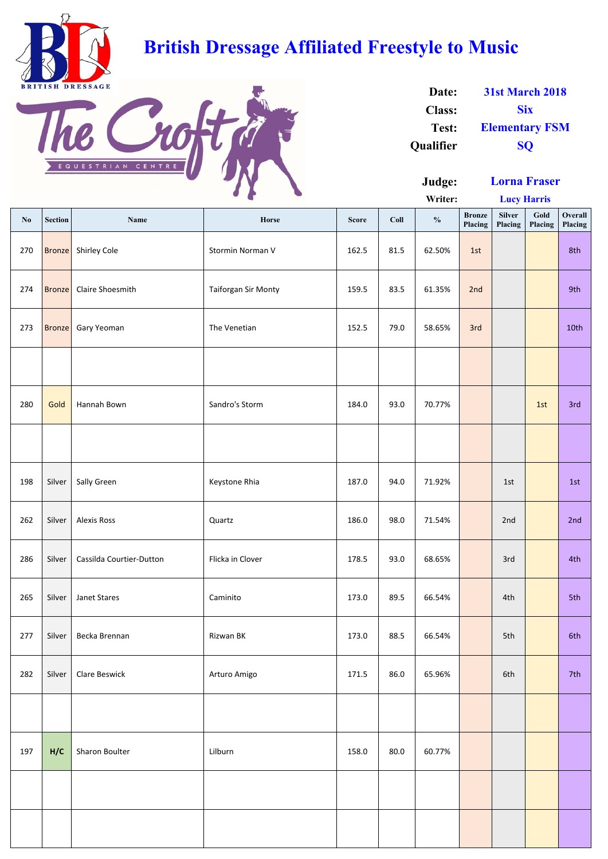|                        |                |                          | $\bullet$                  |              |      | Writer:       |                          | <b>Lucy Harris</b>       |                 |                    |
|------------------------|----------------|--------------------------|----------------------------|--------------|------|---------------|--------------------------|--------------------------|-----------------|--------------------|
| $\mathbf{N}\mathbf{0}$ | <b>Section</b> | Name                     | Horse                      | <b>Score</b> | Coll | $\frac{0}{0}$ | <b>Bronze</b><br>Placing | <b>Silver</b><br>Placing | Gold<br>Placing | Overall<br>Placing |
| 270                    | <b>Bronze</b>  | Shirley Cole             | Stormin Norman V           | 162.5        | 81.5 | 62.50%        | 1st                      |                          |                 | 8th                |
| 274                    | <b>Bronze</b>  | Claire Shoesmith         | <b>Taiforgan Sir Monty</b> | 159.5        | 83.5 | 61.35%        | 2nd                      |                          |                 | 9th                |
| 273                    | <b>Bronze</b>  | Gary Yeoman              | The Venetian               | 152.5        | 79.0 | 58.65%        | 3rd                      |                          |                 | 10th               |
|                        |                |                          |                            |              |      |               |                          |                          |                 |                    |
| 280                    | Gold           | Hannah Bown              | Sandro's Storm             | 184.0        | 93.0 | 70.77%        |                          |                          | 1st             | 3rd                |
|                        |                |                          |                            |              |      |               |                          |                          |                 |                    |
| 198                    | Silver         | Sally Green              | Keystone Rhia              | 187.0        | 94.0 | 71.92%        |                          | 1st                      |                 | 1st                |
| 262                    | Silver         | <b>Alexis Ross</b>       | Quartz                     | 186.0        | 98.0 | 71.54%        |                          | 2nd                      |                 | 2nd                |
| 286                    | Silver         | Cassilda Courtier-Dutton | Flicka in Clover           | 178.5        | 93.0 | 68.65%        |                          | 3rd                      |                 | 4th                |
| 265                    | Silver         | Janet Stares             | Caminito                   | 173.0        | 89.5 | 66.54%        |                          | 4th                      |                 | 5th                |
| 277                    | Silver         | Becka Brennan            | Rizwan BK                  | 173.0        | 88.5 | 66.54%        |                          | 5th                      |                 | 6th                |
| 282                    | Silver         | <b>Clare Beswick</b>     | Arturo Amigo               | 171.5        | 86.0 | 65.96%        |                          | 6th                      |                 | 7th                |
|                        |                |                          |                            |              |      |               |                          |                          |                 |                    |
| 197                    | H/C            | Sharon Boulter           | Lilburn                    | 158.0        | 80.0 | 60.77%        |                          |                          |                 |                    |
|                        |                |                          |                            |              |      |               |                          |                          |                 |                    |
|                        |                |                          |                            |              |      |               |                          |                          |                 |                    |

| Date:            | <b>31st March 2018</b> |
|------------------|------------------------|
| <b>Class:</b>    | <b>Six</b>             |
| Test:            | <b>Elementary FSM</b>  |
| <b>Qualifier</b> | <b>SO</b>              |



# **British Dressage Affiliated Freestyle to Music**



**Lorna Fraser**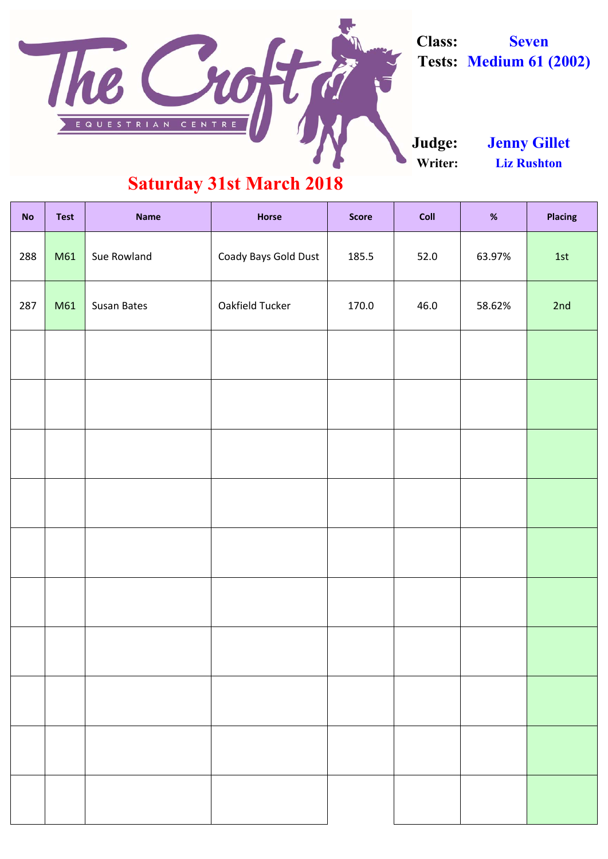| <b>No</b> | <b>Test</b> | <b>Name</b>        | <b>Horse</b>           | <b>Score</b> | Coll | %      | <b>Placing</b> |
|-----------|-------------|--------------------|------------------------|--------------|------|--------|----------------|
| 288       | M61         | Sue Rowland        | Coady Bays Gold Dust   | 185.5        | 52.0 | 63.97% | 1st            |
| 287       | M61         | <b>Susan Bates</b> | <b>Oakfield Tucker</b> | 170.0        | 46.0 | 58.62% | 2nd            |
|           |             |                    |                        |              |      |        |                |
|           |             |                    |                        |              |      |        |                |
|           |             |                    |                        |              |      |        |                |
|           |             |                    |                        |              |      |        |                |
|           |             |                    |                        |              |      |        |                |
|           |             |                    |                        |              |      |        |                |
|           |             |                    |                        |              |      |        |                |
|           |             |                    |                        |              |      |        |                |
|           |             |                    |                        |              |      |        |                |
|           |             |                    |                        |              |      |        |                |

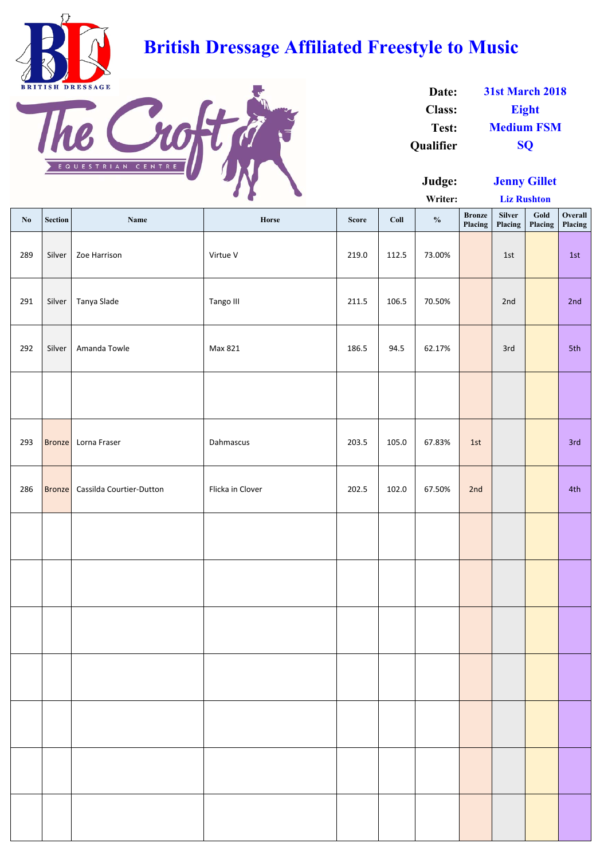**Writer:**

| $\mathbf{N}\mathbf{0}$ | Section       | Name                     | Horse            | <b>Score</b> | Coll  | $\frac{0}{0}$ | <b>Bronze</b><br>Placing | <b>Silver</b><br>Placing | Gold<br>Placing | Overall<br>Placing |
|------------------------|---------------|--------------------------|------------------|--------------|-------|---------------|--------------------------|--------------------------|-----------------|--------------------|
| 289                    | Silver        | Zoe Harrison             | Virtue V         | 219.0        | 112.5 | 73.00%        |                          | 1st                      |                 | 1st                |
| 291                    | Silver        | Tanya Slade              | Tango III        | 211.5        | 106.5 | 70.50%        |                          | 2nd                      |                 | 2nd                |
| 292                    | Silver        | Amanda Towle             | Max 821          | 186.5        | 94.5  | 62.17%        |                          | 3rd                      |                 | 5th                |
|                        |               |                          |                  |              |       |               |                          |                          |                 |                    |
| 293                    | <b>Bronze</b> | Lorna Fraser             | Dahmascus        | 203.5        | 105.0 | 67.83%        | 1st                      |                          |                 | 3rd                |
| 286                    | <b>Bronze</b> | Cassilda Courtier-Dutton | Flicka in Clover | 202.5        | 102.0 | 67.50%        | 2nd                      |                          |                 | 4th                |
|                        |               |                          |                  |              |       |               |                          |                          |                 |                    |
|                        |               |                          |                  |              |       |               |                          |                          |                 |                    |
|                        |               |                          |                  |              |       |               |                          |                          |                 |                    |
|                        |               |                          |                  |              |       |               |                          |                          |                 |                    |
|                        |               |                          |                  |              |       |               |                          |                          |                 |                    |
|                        |               |                          |                  |              |       |               |                          |                          |                 |                    |
|                        |               |                          |                  |              |       |               |                          |                          |                 |                    |

| Date:            | <b>31st March 2018</b> |
|------------------|------------------------|
| <b>Class:</b>    | <b>Eight</b>           |
| Test:            | <b>Medium FSM</b>      |
| <b>Qualifier</b> | <b>SO</b>              |

**Liz Rushton**



# **British Dressage Affiliated Freestyle to Music**



**Jenny Gillet**